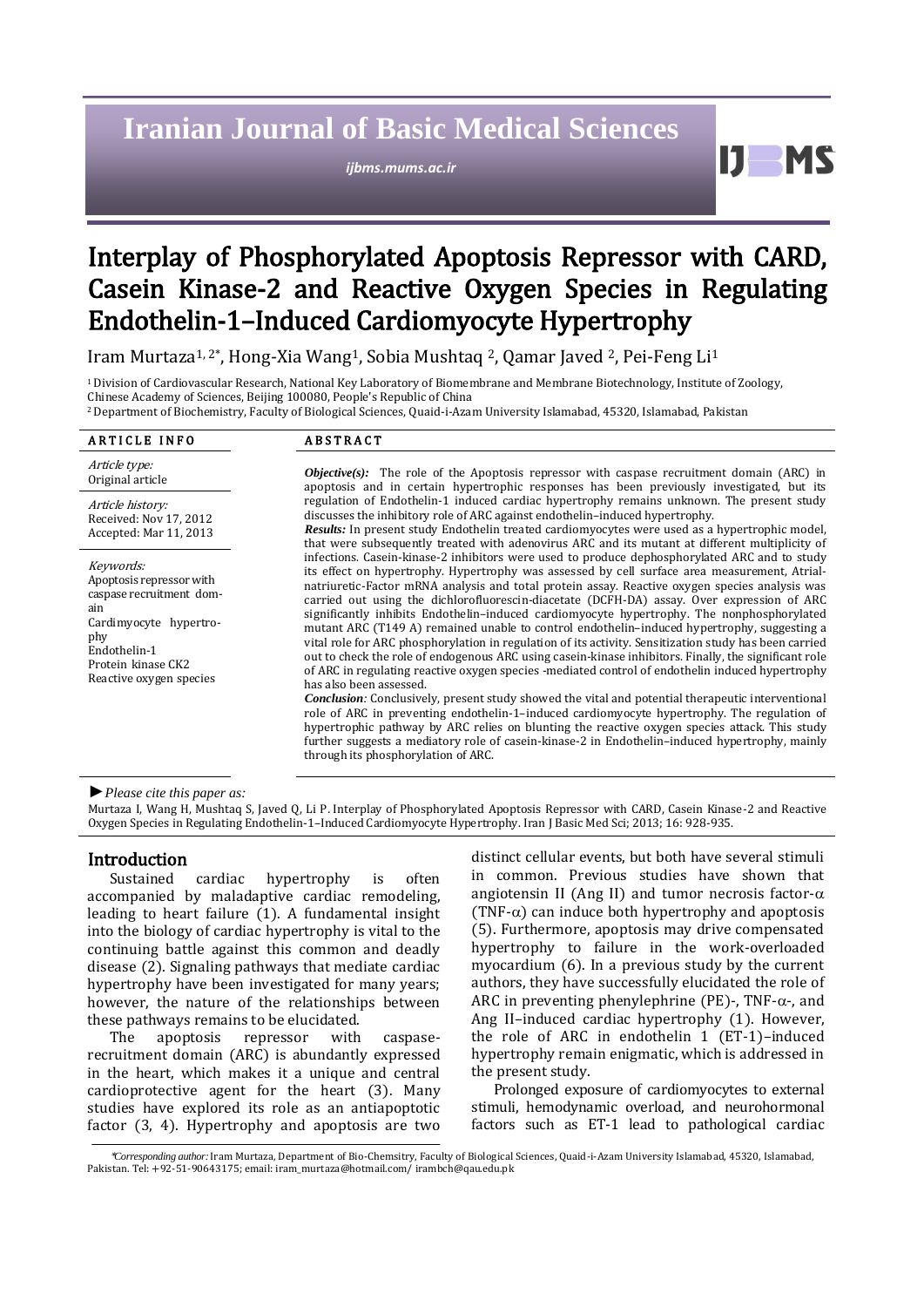# **Iranian Journal of Basic Medical Sciences**

*ijbms.mums.ac.ir*

61

# Interplay of Phosphorylated Apoptosis Repressor with CARD, Casein Kinase-2 and Reactive Oxygen Species in Regulating Endothelin-1–Induced Cardiomyocyte Hypertrophy

Iram Murtaza1, 2\*, Hong-Xia Wang1, Sobia Mushtaq 2, Qamar Javed 2, Pei-Feng Li<sup>1</sup>

<sup>1</sup>Division of Cardiovascular Research, National Key Laboratory of Biomembrane and Membrane Biotechnology, Institute of Zoology, Chinese Academy of Sciences, Beijing 100080, People's Republic of China

<sup>2</sup>Department of Biochemistry, Faculty of Biological Sciences, Quaid-i-Azam University Islamabad, 45320, Islamabad, Pakistan

#### ARTICLE INFO ABSTRACT

Article type:<br>Original article Article history: Received: Nov 17, 2012 Accepted: Mar 11, 2013

Keywords: Apoptosis repressor with caspase recruitment domain Cardimyocyte hypertrophy Endothelin-1 Protein kinase CK2 Reactive oxygen species

Objective(s): The role of the Apoptosis repressor with caspase recruitment domain (ARC) in apoptosis and in certain hypertrophic responses has been previously investigated, but its regulation of Endothelin-1 induced cardiac hypertrophy remains unknown. The present study discusses the inhibitory role of ARC against endothelin–induced hypertrophy. *Results:* In present study Endothelin treated cardiomyocytes were used as a hypertrophic model,

that were subsequently treated with adenovirus ARC and its mutant at different multiplicity of infections. Casein-kinase-2 inhibitors were used to produce dephosphorylated ARC and to study its effect on hypertrophy. Hypertrophy was assessed by cell surface area measurement, Atrialnatriuretic-Factor mRNA analysis and total protein assay. Reactive oxygen species analysis was carried out using the dichlorofluorescin-diacetate (DCFH-DA) assay. Over expression of ARC significantly inhibits Endothelin–induced cardiomyocyte hypertrophy. The nonphosphorylated mutant ARC (T149 A) remained unable to control endothelin–induced hypertrophy, suggesting a vital role for ARC phosphorylation in regulation of its activity. Sensitization study has been carried out to check the role of endogenous ARC using casein-kinase inhibitors. Finally, the significant role of ARC in regulating reactive oxygen species -mediated control of endothelin induced hypertrophy has also been assessed.

*Conclusion:* Conclusively, present study showed the vital and potential therapeutic interventional role of ARC in preventing endothelin-1–induced cardiomyocyte hypertrophy. The regulation of hypertrophic pathway by ARC relies on blunting the reactive oxygen species attack. This study further suggests a mediatory role of casein-kinase-2 in Endothelin–induced hypertrophy, mainly through its phosphorylation of ARC.

*►Please cite this paper as:*

Murtaza I, Wang H, Mushtaq S, Javed Q, Li P. Interplay of Phosphorylated Apoptosis Repressor with CARD, Casein Kinase-2 and Reactive Oxygen Species in Regulating Endothelin-1–Induced Cardiomyocyte Hypertrophy. Iran J Basic Med Sci; 2013; 16: 928-935.

# Introduction

Sustained cardiac hypertrophy is often accompanied by maladaptive cardiac remodeling, leading to heart failure (1). A fundamental insight into the biology of cardiac hypertrophy is vital to the continuing battle against this common and deadly disease (2). Signaling pathways that mediate cardiac hypertrophy have been investigated for many years; however, the nature of the relationships between these pathways remains to be elucidated.

The apoptosis repressor with caspaserecruitment domain (ARC) is abundantly expressed in the heart, which makes it a unique and central cardioprotective agent for the heart (3). Many studies have explored its role as an antiapoptotic factor (3, 4). Hypertrophy and apoptosis are two distinct cellular events, but both have several stimuli in common. Previous studies have shown that angiotensin II (Ang II) and tumor necrosis factor- $\alpha$ (TNF- $\alpha$ ) can induce both hypertrophy and apoptosis (5). Furthermore, apoptosis may drive compensated hypertrophy to failure in the work-overloaded myocardium (6). In a previous study by the current authors, they have successfully elucidated the role of ARC in preventing phenylephrine (PE)-, TNF- $\alpha$ -, and Ang II–induced cardiac hypertrophy (1). However, the role of ARC in endothelin 1 (ET-1)–induced hypertrophy remain enigmatic, which is addressed in the present study.

Prolonged exposure of cardiomyocytes to external stimuli, hemodynamic overload, and neurohormonal factors such as ET-1 lead to pathological cardiac

<sup>\*</sup>*Corresponding author:*Iram Murtaza, Department of Bio-Chemsitry, Faculty of Biological Sciences, Quaid-i-Azam University Islamabad, 45320, Islamabad, Pakistan. Tel: +92-51-90643175; email[: iram\\_murtaza@hotmail.com/](mailto:iram_murtaza@hotmail.com/) [irambch@qau.edu.pk](mailto:irambch@qau.edu.pk)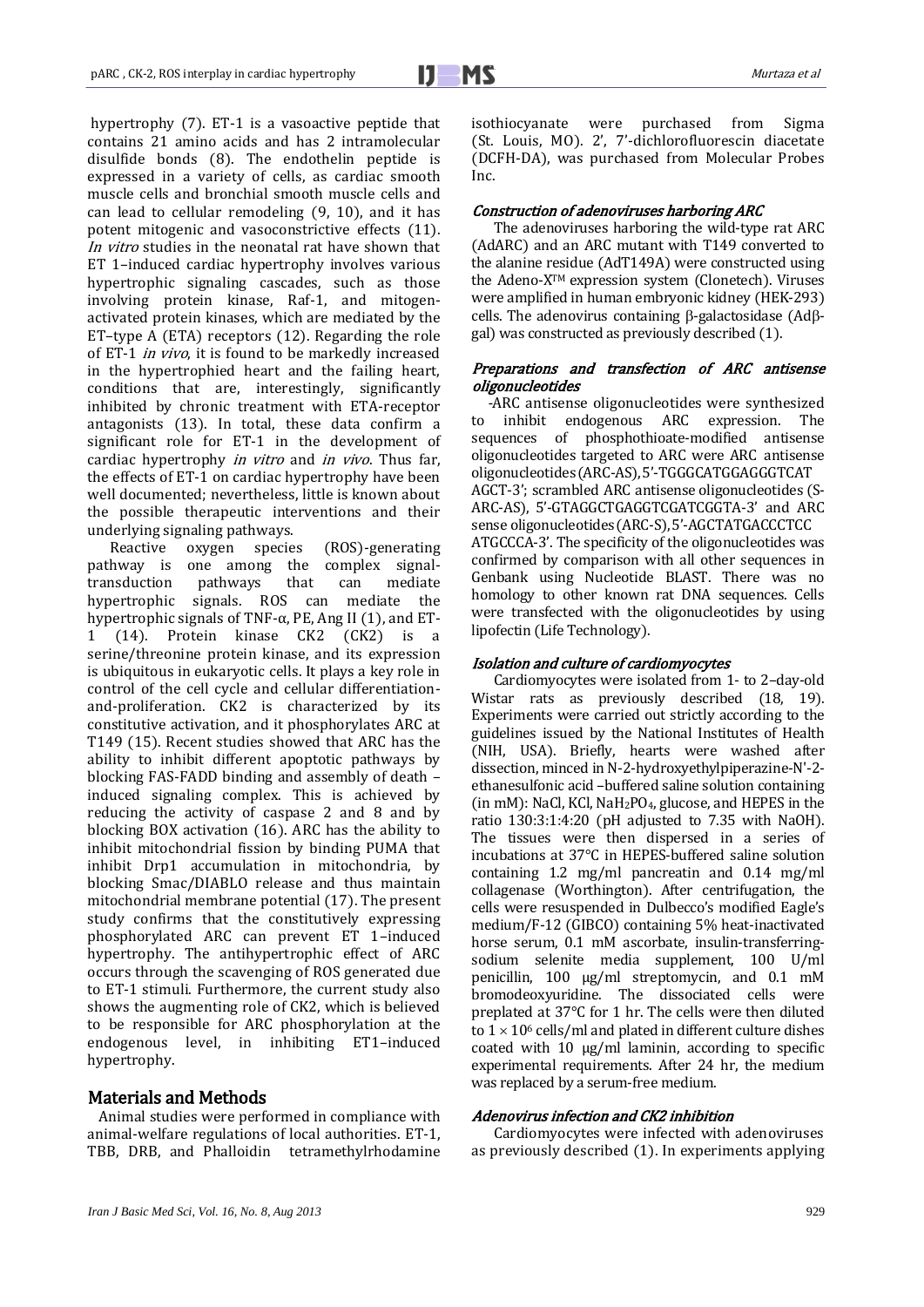hypertrophy (7). ET-1 is a vasoactive peptide that contains 21 amino acids and has 2 intramolecular disulfide bonds (8). The endothelin peptide is expressed in a variety of cells, as cardiac smooth muscle cells and bronchial smooth muscle cells and can lead to cellular remodeling (9, 10), and it has potent mitogenic and vasoconstrictive effects (11). In vitro studies in the neonatal rat have shown that ET 1–induced cardiac hypertrophy involves various hypertrophic signaling cascades, such as those involving protein kinase, Raf-1, and mitogenactivated protein kinases, which are mediated by the ET–type A (ETA) receptors (12). Regarding the role of ET-1 in vivo, it is found to be markedly increased in the hypertrophied heart and the failing heart, conditions that are, interestingly, significantly inhibited by chronic treatment with ETA-receptor antagonists (13). In total, these data confirm a significant role for ET-1 in the development of cardiac hypertrophy in vitro and in vivo. Thus far, the effects of ET-1 on cardiac hypertrophy have been well documented; nevertheless, little is known about the possible therapeutic interventions and their underlying signaling pathways.

Reactive oxygen species (ROS)-generating pathway is one among the complex signaltransduction pathways that can mediate hypertrophic signals. ROS can mediate the hypertrophic signals of TNF- $\alpha$ , PE, Ang II (1), and ET-1 (14). Protein kinase CK2 (CK2) is a serine/threonine protein kinase, and its expression is ubiquitous in eukaryotic cells. It plays a key role in control of the cell cycle and cellular differentiationand-proliferation. CK2 is characterized by its constitutive activation, and it phosphorylates ARC at T149 (15). Recent studies showed that ARC has the ability to inhibit different apoptotic pathways by blocking FAS-FADD binding and assembly of death – induced signaling complex. This is achieved by reducing the activity of caspase 2 and 8 and by blocking BOX activation (16). ARC has the ability to inhibit mitochondrial fission by binding PUMA that inhibit Drp1 accumulation in mitochondria, by blocking Smac/DIABLO release and thus maintain mitochondrial membrane potential (17). The present study confirms that the constitutively expressing phosphorylated ARC can prevent ET 1–induced hypertrophy. The antihypertrophic effect of ARC occurs through the scavenging of ROS generated due to ET-1 stimuli. Furthermore, the current study also shows the augmenting role of CK2, which is believed to be responsible for ARC phosphorylation at the endogenous level, in inhibiting ET1–induced hypertrophy.

# Materials and Methods

Animal studies were performed in compliance with animal-welfare regulations of local authorities. ET-1, TBB, DRB, and Phalloidin tetramethylrhodamine isothiocyanate were purchased from Sigma (St. Louis, MO). 2', 7'-dichlorofluorescin diacetate (DCFH-DA), was purchased from Molecular Probes Inc.

#### Construction of adenoviruses harboring ARC

The adenoviruses harboring the wild-type rat ARC (AdARC) and an ARC mutant with T149 converted to the alanine residue (AdT149A) were constructed using the Adeno-XTM expression system (Clonetech). Viruses were amplified in human embryonic kidney (HEK-293) cells. The adenovirus containing  $\beta$ -galactosidase (Ad $\beta$ gal) was constructed as previously described (1).

### Preparations and transfection of ARC antisense oligonucleotides

-ARC antisense oligonucleotides were synthesized to inhibit endogenous ARC expression. The sequences of phosphothioate-modified antisense oligonucleotides targeted to ARC were ARC antisense oligonucleotides(ARC-AS),5'-TGGGCATGGAGGGTCAT AGCT-3'; scrambled ARC antisense oligonucleotides (S-ARC-AS), 5'-GTAGGCTGAGGTCGATCGGTA-3' and ARC sense oligonucleotides(ARC-S),5'-AGCTATGACCCTCC ATGCCCA-3'. The specificity of the oligonucleotides was confirmed by comparison with all other sequences in Genbank using Nucleotide BLAST. There was no homology to other known rat DNA sequences. Cells were transfected with the oligonucleotides by using lipofectin (Life Technology).

#### Isolation and culture of cardiomyocytes

Cardiomyocytes were isolated from 1- to 2–day-old Wistar rats as previously described (18, 19). Experiments were carried out strictly according to the guidelines issued by the National Institutes of Health (NIH, USA). Briefly, hearts were washed after dissection, minced in N-2-hydroxyethylpiperazine-N'-2 ethanesulfonic acid –buffered saline solution containing (in mM): NaCl, KCl, NaH<sub>2</sub>PO<sub>4</sub>, glucose, and HEPES in the ratio 130:3:1:4:20 (pH adjusted to 7.35 with NaOH). The tissues were then dispersed in a series of incubations at 37°C in HEPES-buffered saline solution containing 1.2 mg/ml pancreatin and 0.14 mg/ml collagenase (Worthington). After centrifugation, the cells were resuspended in Dulbecco's modified Eagle's medium/F-12 (GIBCO) containing 5% heat-inactivated horse serum, 0.1 mM ascorbate, insulin-transferringsodium selenite media supplement, 100 U/ml penicillin, 100 µg/ml streptomycin, and 0.1 mM bromodeoxyuridine. The dissociated cells were preplated at 37°C for 1 hr. The cells were then diluted to  $1 \times 10^6$  cells/ml and plated in different culture dishes coated with 10 µg/ml laminin, according to specific experimental requirements. After 24 hr, the medium was replaced by a serum-free medium.

## Adenovirus infection and CK2 inhibition

Cardiomyocytes were infected with adenoviruses as previously described (1). In experiments applying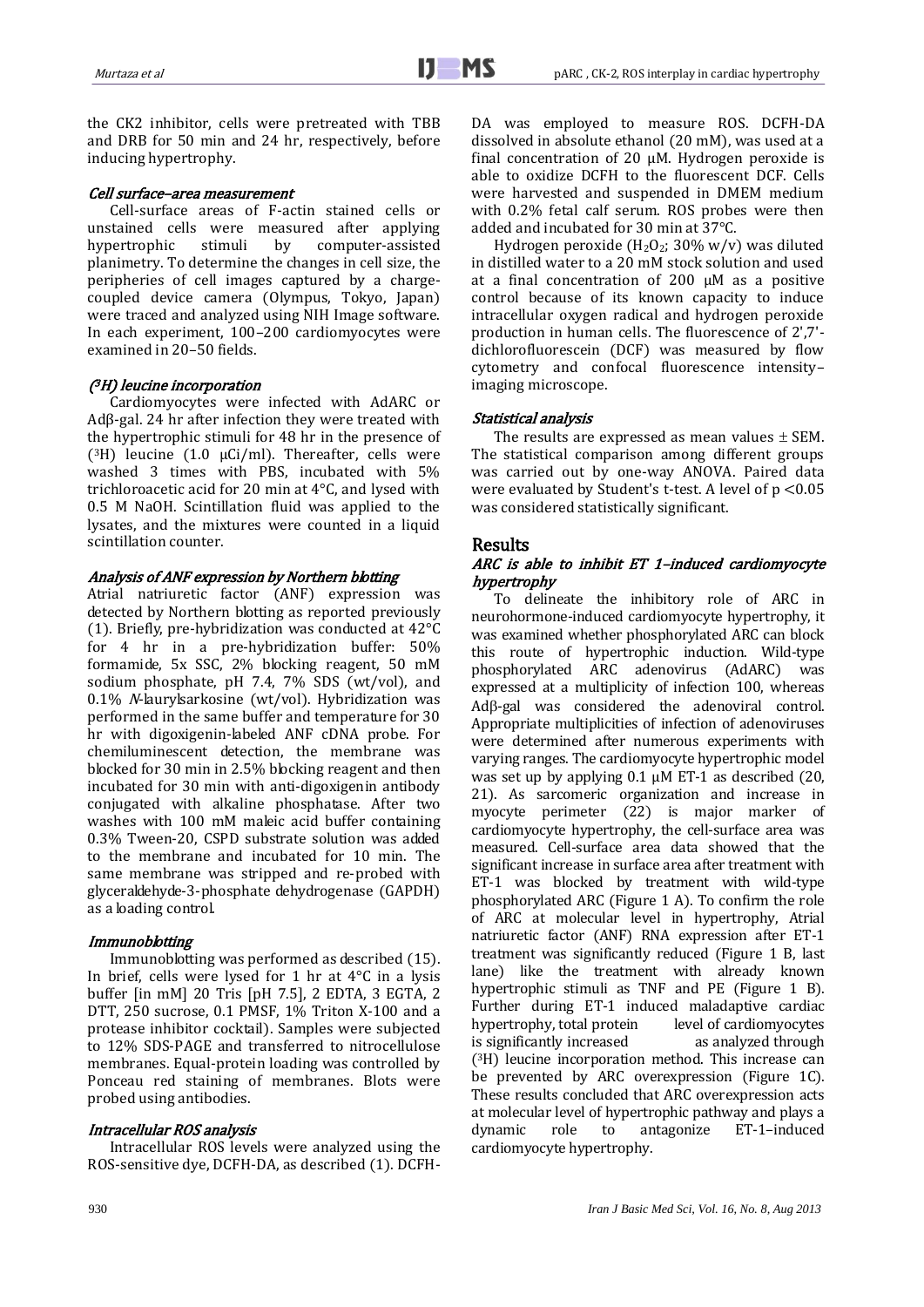the CK2 inhibitor, cells were pretreated with TBB and DRB for 50 min and 24 hr, respectively, before inducing hypertrophy.

#### Cell surface–area measurement

Cell-surface areas of F-actin stained cells or unstained cells were measured after applying<br>hypertrophic stimuli by computer-assisted hypertrophic stimuli by computer-assisted planimetry. To determine the changes in cell size, the peripheries of cell images captured by a chargecoupled device camera (Olympus, Tokyo, Japan) were traced and analyzed using NIH Image software. In each experiment, 100–200 cardiomyocytes were examined in 20–50 fields.

#### ( <sup>3</sup>H) leucine incorporation

Cardiomyocytes were infected with AdARC or Adβ-gal. 24 hr after infection they were treated with the hypertrophic stimuli for 48 hr in the presence of  $(3H)$  leucine  $(1.0 \mu\text{Ci/ml})$ . Thereafter, cells were washed 3 times with PBS, incubated with 5% trichloroacetic acid for 20 min at 4°C, and lysed with 0.5 M NaOH. Scintillation fluid was applied to the lysates, and the mixtures were counted in a liquid scintillation counter.

#### Analysis of ANF expression by Northern blotting

Atrial natriuretic factor (ANF) expression was detected by Northern blotting as reported previously (1). Briefly, pre-hybridization was conducted at 42°C for 4 hr in a pre-hybridization buffer: 50% formamide, 5x SSC, 2% blocking reagent, 50 mM sodium phosphate, pH 7.4, 7% SDS (wt/vol), and 0.1% N-laurylsarkosine (wt/vol). Hybridization was performed in the same buffer and temperature for 30 hr with digoxigenin-labeled ANF cDNA probe. For chemiluminescent detection, the membrane was blocked for 30 min in 2.5% blocking reagent and then incubated for 30 min with anti-digoxigenin antibody conjugated with alkaline phosphatase. After two washes with 100 mM maleic acid buffer containing 0.3% Tween-20, CSPD substrate solution was added to the membrane and incubated for 10 min. The same membrane was stripped and re-probed with glyceraldehyde-3-phosphate dehydrogenase (GAPDH) as a loading control.

#### **Immunoblotting**

Immunoblotting was performed as described (15). In brief, cells were lysed for 1 hr at 4°C in a lysis buffer [in mM] 20 Tris [pH 7.5], 2 EDTA, 3 EGTA, 2 DTT, 250 sucrose, 0.1 PMSF, 1% Triton X-100 and a protease inhibitor cocktail). Samples were subjected to 12% SDS-PAGE and transferred to nitrocellulose membranes. Equal-protein loading was controlled by Ponceau red staining of membranes. Blots were probed using antibodies.

#### Intracellular ROS analysis

Intracellular ROS levels were analyzed using the ROS-sensitive dye, DCFH-DA, as described (1). DCFH- DA was employed to measure ROS. DCFH-DA dissolved in absolute ethanol (20 mM), was used at a final concentration of 20  $\mu$ M. Hydrogen peroxide is able to oxidize DCFH to the fluorescent DCF. Cells were harvested and suspended in DMEM medium with 0.2% fetal calf serum. ROS probes were then added and incubated for 30 min at 37°C.

Hydrogen peroxide (H<sub>2</sub>O<sub>2</sub>; 30% w/v) was diluted in distilled water to a 20 mM stock solution and used at a final concentration of 200  $\mu$ M as a positive control because of its known capacity to induce intracellular oxygen radical and hydrogen peroxide production in human cells. The fluorescence of 2',7' dichlorofluorescein (DCF) was measured by flow cytometry and confocal fluorescence intensity– imaging microscope.

#### Statistical analysis

The results are expressed as mean values  $\pm$  SEM. The statistical comparison among different groups was carried out by one-way ANOVA. Paired data were evaluated by Student's t-test. A level of p <0.05 was considered statistically significant.

#### Results

### ARC is able to inhibit ET 1–induced cardiomyocyte hypertrophy

To delineate the inhibitory role of ARC in neurohormone-induced cardiomyocyte hypertrophy, it was examined whether phosphorylated ARC can block this route of hypertrophic induction. Wild-type phosphorylated ARC adenovirus (AdARC) was expressed at a multiplicity of infection 100, whereas  $Ad\beta$ -gal was considered the adenoviral control. Appropriate multiplicities of infection of adenoviruses were determined after numerous experiments with varying ranges. The cardiomyocyte hypertrophic model was set up by applying 0.1 µM ET-1 as described (20, 21). As sarcomeric organization and increase in myocyte perimeter (22) is major marker of cardiomyocyte hypertrophy, the cell-surface area was measured. Cell-surface area data showed that the significant increase in surface area after treatment with ET-1 was blocked by treatment with wild-type phosphorylated ARC (Figure 1 A). To confirm the role of ARC at molecular level in hypertrophy, Atrial natriuretic factor (ANF) RNA expression after ET-1 treatment was significantly reduced (Figure 1 B, last lane) like the treatment with already known hypertrophic stimuli as TNF and PE (Figure 1 B). Further during ET-1 induced maladaptive cardiac hypertrophy, total protein level of cardiomyocytes is significantly increased as analyzed through ( <sup>3</sup>H) leucine incorporation method. This increase can be prevented by ARC overexpression (Figure 1C). These results concluded that ARC overexpression acts at molecular level of hypertrophic pathway and plays a dynamic role to antagonize ET-1–induced cardiomyocyte hypertrophy.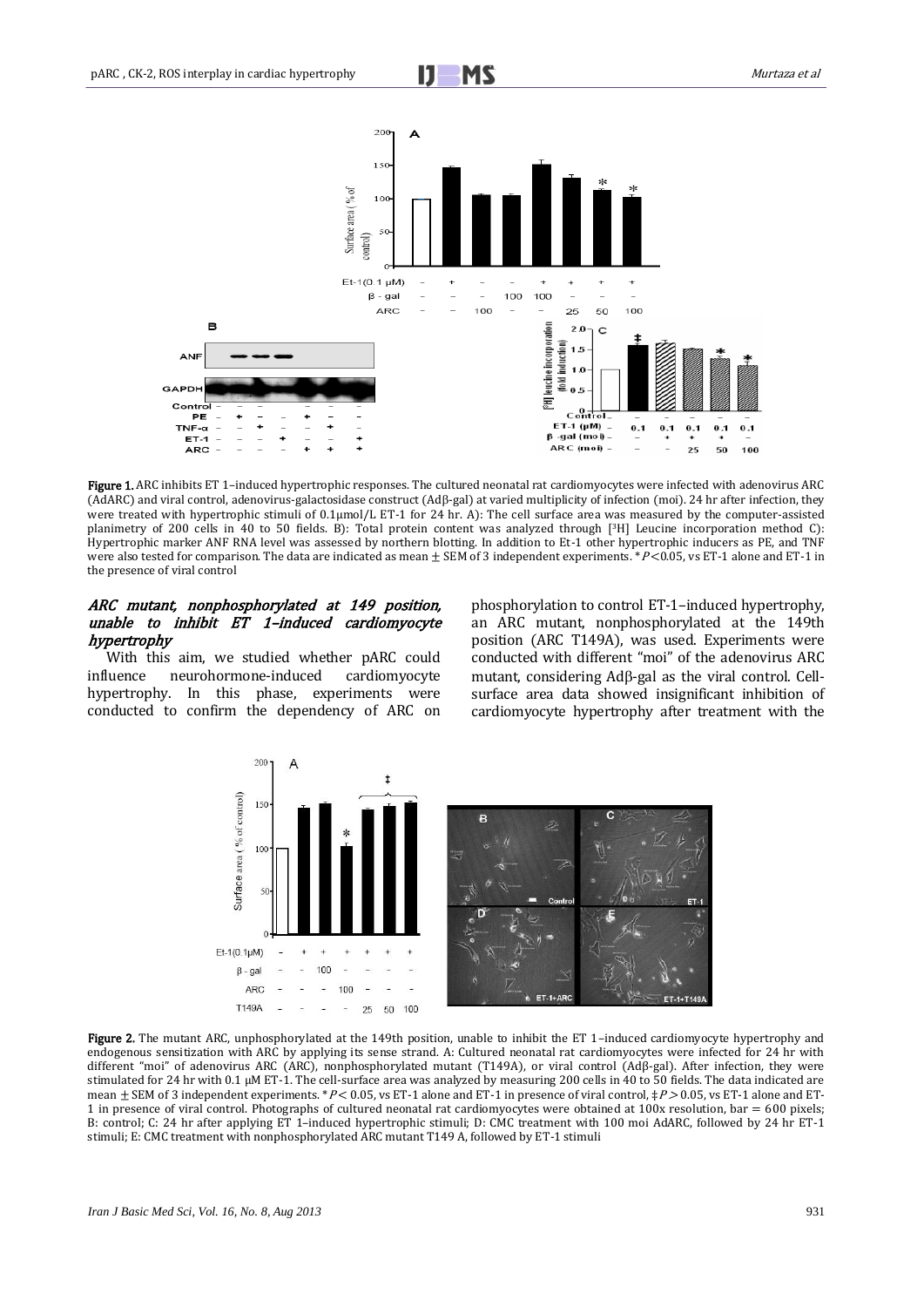

Figure 1. ARC inhibits ET 1-induced hypertrophic responses. The cultured neonatal rat cardiomyocytes were infected with adenovirus ARC (AdARC) and viral control, adenovirus-galactosidase construct (Adß-gal) at varied multiplicity of infection (moi). 24 hr after infection, they were treated with hypertrophic stimuli of 0.1μmol/L ET-1 for 24 hr. A): The cell surface area was measured by the computer-assisted planimetry of 200 cells in 40 to 50 fields. B): Total protein content was analyzed through [3H] Leucine incorporation method C): Hypertrophic marker ANF RNA level was assessed by northern blotting. In addition to Et-1 other hypertrophic inducers as PE, and TNF were also tested for comparison. The data are indicated as mean  $\pm$  SEM of 3 independent experiments. \* P<0.05, vs ET-1 alone and ET-1 in the presence of viral control

# ARC mutant, nonphosphorylated at 149 position, unable to inhibit ET 1–induced cardiomyocyte hypertrophy

With this aim, we studied whether pARC could influence neurohormone-induced cardiomyocyte hypertrophy. In this phase, experiments were conducted to confirm the dependency of ARC on phosphorylation to control ET-1–induced hypertrophy, an ARC mutant, nonphosphorylated at the 149th position (ARC T149A), was used. Experiments were conducted with different "moi" of the adenovirus ARC mutant, considering Adß-gal as the viral control. Cellsurface area data showed insignificant inhibition of cardiomyocyte hypertrophy after treatment with the



Figure 2. The mutant ARC, unphosphorylated at the 149th position, unable to inhibit the ET 1-induced cardiomyocyte hypertrophy and endogenous sensitization with ARC by applying its sense strand. A: Cultured neonatal rat cardiomyocytes were infected for 24 hr with different "moi" of adenovirus ARC (ARC), nonphosphorylated mutant (T149A), or viral control (Adβ-gal). After infection, they were stimulated for 24 hr with 0.1 μM ET-1. The cell-surface area was analyzed by measuring 200 cells in 40 to 50 fields. The data indicated are mean  $\pm$  SEM of 3 independent experiments. \*P < 0.05, vs ET-1 alone and ET-1 in presence of viral control,  $\neq$ P > 0.05, vs ET-1 alone and ET-1 in presence of viral control. Photographs of cultured neonatal rat cardiomyocytes were obtained at 100x resolution, bar = 600 pixels; B: control; C: 24 hr after applying ET 1–induced hypertrophic stimuli; D: CMC treatment with 100 moi AdARC, followed by 24 hr ET-1 stimuli; E: CMC treatment with nonphosphorylated ARC mutant T149 A, followed by ET-1 stimuli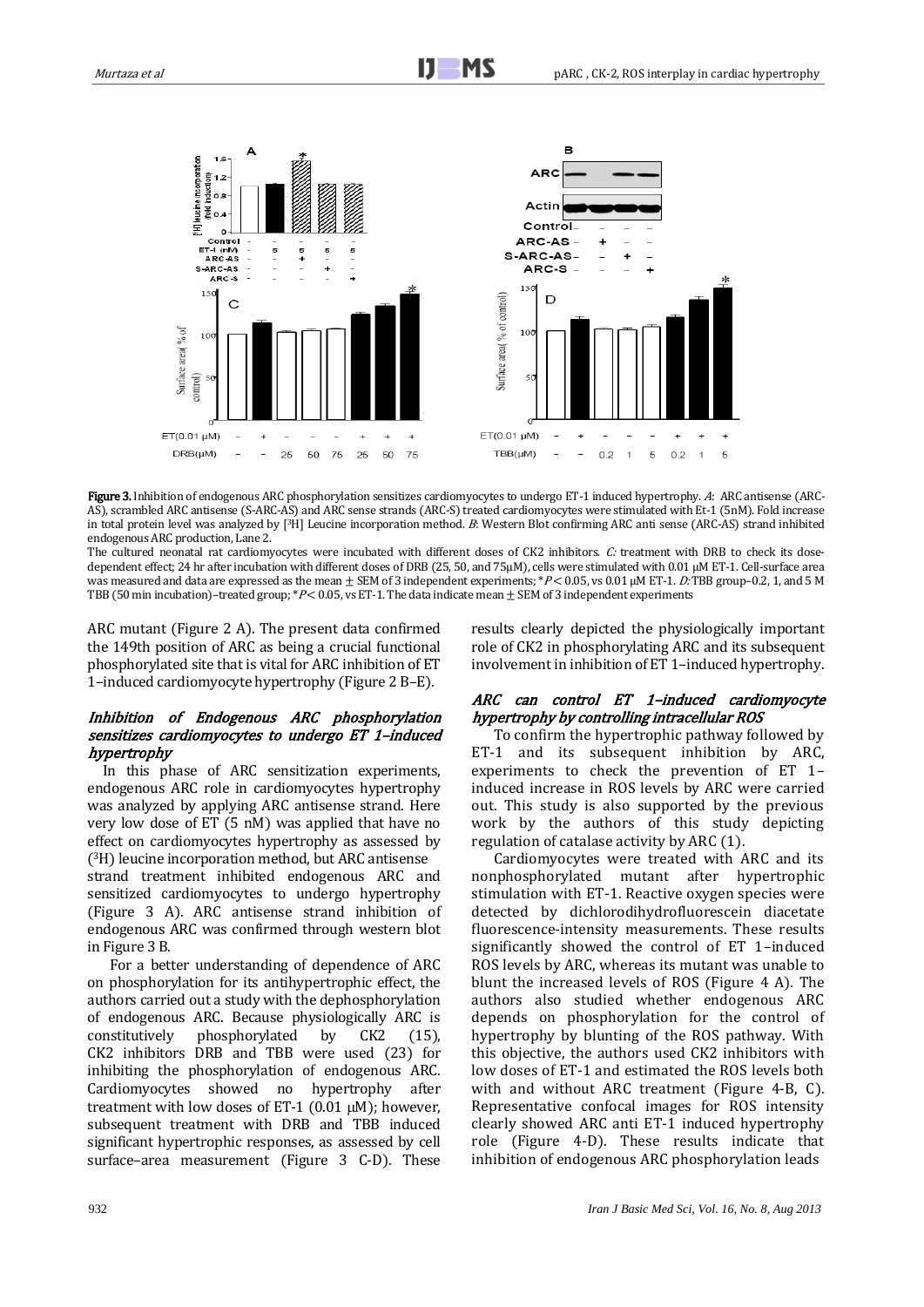

Figure 3. Inhibition of endogenous ARC phosphorylation sensitizes cardiomyocytes to undergo ET-1 induced hypertrophy. A: ARC antisense (ARC-AS), scrambled ARC antisense (S-ARC-AS) and ARC sense strands (ARC-S) treated cardiomyocytes were stimulated with Et-1 (5nM). Fold increase in total protein level was analyzed by [3H] Leucine incorporation method. B: Western Blot confirming ARC anti sense (ARC-AS) strand inhibited endogenous ARC production, Lane 2.

The cultured neonatal rat cardiomyocytes were incubated with different doses of CK2 inhibitors. C: treatment with DRB to check its dosedependent effect; 24 hr after incubation with different doses of DRB (25, 50, and 75μM), cells were stimulated with 0.01 μM ET-1. Cell-surface area was measured and data are expressed as the mean  $\pm$  SEM of 3 independent experiments; \*P< 0.05, vs 0.01 μM ET-1. D: TBB group–0.2, 1, and 5 M TBB (50 min incubation)–treated group; \*P< 0.05, vs ET-1. The data indicate mean  $\pm$  SEM of 3 independent experiments

ARC mutant (Figure 2 A). The present data confirmed the 149th position of ARC as being a crucial functional phosphorylated site that is vital for ARC inhibition of ET 1–induced cardiomyocyte hypertrophy (Figure 2 B–E).

## Inhibition of Endogenous ARC phosphorylation sensitizes cardiomyocytes to undergo ET 1–induced hypertrophy

In this phase of ARC sensitization experiments, endogenous ARC role in cardiomyocytes hypertrophy was analyzed by applying ARC antisense strand. Here very low dose of ET (5 nM) was applied that have no effect on cardiomyocytes hypertrophy as assessed by ( <sup>3</sup>H) leucine incorporation method, but ARC antisense strand treatment inhibited endogenous ARC and sensitized cardiomyocytes to undergo hypertrophy (Figure 3 A). ARC antisense strand inhibition of endogenous ARC was confirmed through western blot in Figure 3 B.

For a better understanding of dependence of ARC on phosphorylation for its antihypertrophic effect, the authors carried out a study with the dephosphorylation of endogenous ARC. Because physiologically ARC is constitutively phosphorylated by CK2 (15), CK2 inhibitors DRB and TBB were used (23) for inhibiting the phosphorylation of endogenous ARC. Cardiomyocytes showed no hypertrophy after treatment with low doses of ET-1 (0.01  $\mu$ M); however, subsequent treatment with DRB and TBB induced significant hypertrophic responses, as assessed by cell surface–area measurement (Figure 3 C-D). These results clearly depicted the physiologically important role of CK2 in phosphorylating ARC and its subsequent involvement in inhibition of ET 1–induced hypertrophy.

### ARC can control ET 1–induced cardiomyocyte hypertrophy by controlling intracellular ROS

To confirm the hypertrophic pathway followed by ET-1 and its subsequent inhibition by ARC, experiments to check the prevention of ET 1– induced increase in ROS levels by ARC were carried out. This study is also supported by the previous work by the authors of this study depicting regulation of catalase activity by ARC (1).

Cardiomyocytes were treated with ARC and its nonphosphorylated mutant after hypertrophic stimulation with ET-1. Reactive oxygen species were detected by dichlorodihydrofluorescein diacetate fluorescence-intensity measurements. These results significantly showed the control of ET 1–induced ROS levels by ARC, whereas its mutant was unable to blunt the increased levels of ROS (Figure 4 A). The authors also studied whether endogenous ARC depends on phosphorylation for the control of hypertrophy by blunting of the ROS pathway. With this objective, the authors used CK2 inhibitors with low doses of ET-1 and estimated the ROS levels both with and without ARC treatment (Figure 4-B, C). Representative confocal images for ROS intensity clearly showed ARC anti ET-1 induced hypertrophy role (Figure 4-D). These results indicate that inhibition of endogenous ARC phosphorylation leads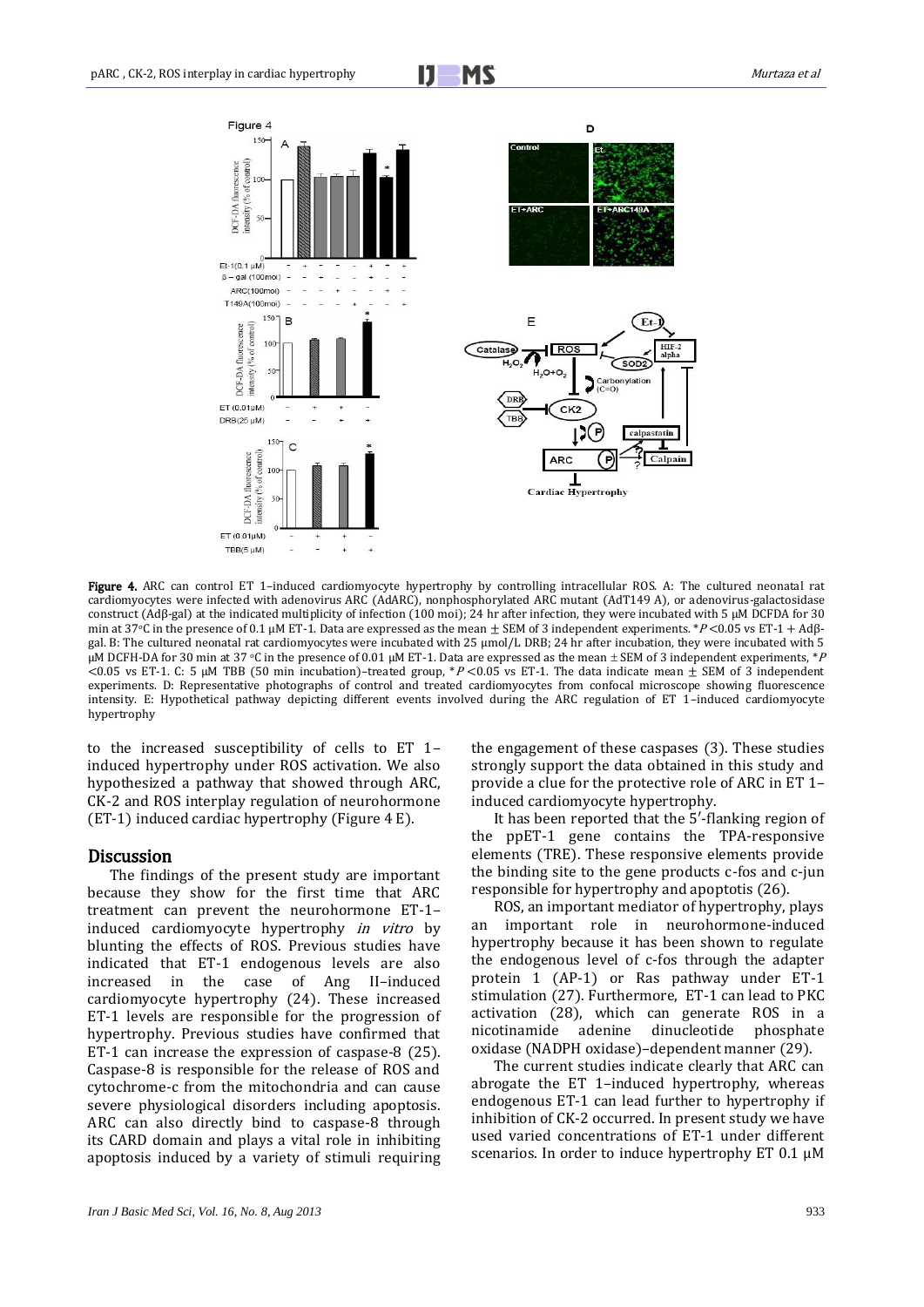

 Figure 4. ARC can control ET 1–induced cardiomyocyte hypertrophy by controlling intracellular ROS. A: The cultured neonatal rat cardiomyocytes were infected with adenovirus ARC (AdARC), nonphosphorylated ARC mutant (AdT149 A), or adenovirus-galactosidase construct (Adβ-gal) at the indicated multiplicity of infection (100 moi); 24 hr after infection, they were incubated with 5 μM DCFDA for 30 min at 37<sup>o</sup>C in the presence of 0.1 μM ET-1. Data are expressed as the mean  $\pm$  SEM of 3 independent experiments. \*P<0.05 vs ET-1 + Adβgal. B: The cultured neonatal rat cardiomyocytes were incubated with 25 μmol/L DRB; 24 hr after incubation, they were incubated with 5 μM DCFH-DA for 30 min at 37 °C in the presence of 0.01 μM ET-1. Data are expressed as the mean  $\pm$  SEM of 3 independent experiments, \*P <0.05 vs ET-1. C: 5 μM TBB (50 min incubation)–treated group, \*P <0.05 vs ET-1. The data indicate mean  $\pm$  SEM of 3 independent experiments. D: Representative photographs of control and treated cardiomyocytes from confocal microscope showing fluorescence intensity. E: Hypothetical pathway depicting different events involved during the ARC regulation of ET 1–induced cardiomyocyte hypertrophy

to the increased susceptibility of cells to ET 1– induced hypertrophy under ROS activation. We also hypothesized a pathway that showed through ARC, CK-2 and ROS interplay regulation of neurohormone (ET-1) induced cardiac hypertrophy (Figure 4 E).

#### Discussion

The findings of the present study are important because they show for the first time that ARC treatment can prevent the neurohormone ET-1– induced cardiomyocyte hypertrophy in vitro by blunting the effects of ROS. Previous studies have indicated that ET-1 endogenous levels are also increased in the case of Ang II–induced cardiomyocyte hypertrophy (24). These increased ET-1 levels are responsible for the progression of hypertrophy. Previous studies have confirmed that ET-1 can increase the expression of caspase-8 (25). Caspase-8 is responsible for the release of ROS and cytochrome-c from the mitochondria and can cause severe physiological disorders including apoptosis. ARC can also directly bind to caspase-8 through its CARD domain and plays a vital role in inhibiting apoptosis induced by a variety of stimuli requiring the engagement of these caspases (3). These studies strongly support the data obtained in this study and provide a clue for the protective role of ARC in ET 1– induced cardiomyocyte hypertrophy.

It has been reported that the 5′-flanking region of the ppET-1 gene contains the TPA-responsive elements (TRE). These responsive elements provide the binding site to the gene products c-fos and c-jun responsible for hypertrophy and apoptotis (26).

ROS, an important mediator of hypertrophy, plays an important role in neurohormone-induced hypertrophy because it has been shown to regulate the endogenous level of c-fos through the adapter protein 1 (AP-1) or Ras pathway under ET-1 stimulation (27). Furthermore, ET-1 can lead to PKC activation (28), which can generate ROS in a nicotinamide adenine dinucleotide phosphate oxidase (NADPH oxidase)–dependent manner (29).

The current studies indicate clearly that ARC can abrogate the ET 1–induced hypertrophy, whereas endogenous ET-1 can lead further to hypertrophy if inhibition of CK-2 occurred. In present study we have used varied concentrations of ET-1 under different scenarios. In order to induce hypertrophy ET 0.1 µM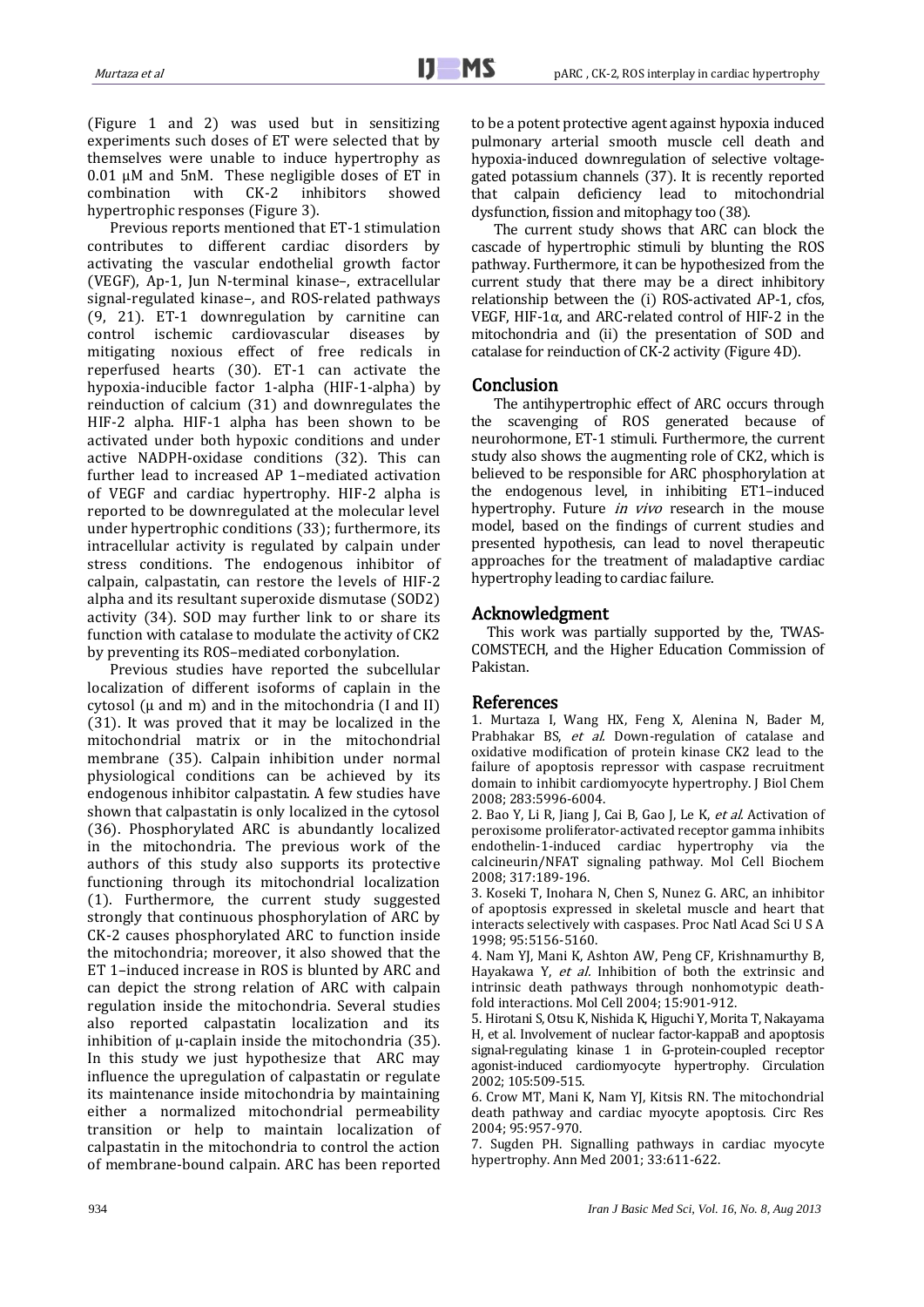(Figure 1 and 2) was used but in sensitizing experiments such doses of ET were selected that by themselves were unable to induce hypertrophy as  $0.01 \mu$ M and 5nM. These negligible doses of ET in combination with CK-2 inhibitors showed inhibitors hypertrophic responses (Figure 3).

Previous reports mentioned that ET-1 stimulation contributes to different cardiac disorders by activating the vascular endothelial growth factor (VEGF), Ap-1, Jun N-terminal kinase–, extracellular signal-regulated kinase–, and ROS-related pathways (9, 21). ET-1 downregulation by carnitine can control ischemic cardiovascular diseases by mitigating noxious effect of free redicals in reperfused hearts (30). ET-1 can activate the hypoxia-inducible factor 1-alpha (HIF-1-alpha) by reinduction of calcium (31) and downregulates the HIF-2 alpha. HIF-1 alpha has been shown to be activated under both hypoxic conditions and under active NADPH-oxidase conditions (32). This can further lead to increased AP 1–mediated activation of VEGF and cardiac hypertrophy. HIF-2 alpha is reported to be downregulated at the molecular level under hypertrophic conditions (33); furthermore, its intracellular activity is regulated by calpain under stress conditions. The endogenous inhibitor of calpain, calpastatin, can restore the levels of HIF-2 alpha and its resultant superoxide dismutase (SOD2) activity (34). SOD may further link to or share its function with catalase to modulate the activity of CK2 by preventing its ROS–mediated corbonylation.

Previous studies have reported the subcellular localization of different isoforms of caplain in the cytosol ( $\mu$  and m) and in the mitochondria (I and II) (31). It was proved that it may be localized in the mitochondrial matrix or in the mitochondrial membrane (35). Calpain inhibition under normal physiological conditions can be achieved by its endogenous inhibitor calpastatin. A few studies have shown that calpastatin is only localized in the cytosol (36). Phosphorylated ARC is abundantly localized in the mitochondria. The previous work of the authors of this study also supports its protective functioning through its mitochondrial localization (1). Furthermore, the current study suggested strongly that continuous phosphorylation of ARC by CK-2 causes phosphorylated ARC to function inside the mitochondria; moreover, it also showed that the ET 1–induced increase in ROS is blunted by ARC and can depict the strong relation of ARC with calpain regulation inside the mitochondria. Several studies also reported calpastatin localization and its inhibition of μ-caplain inside the mitochondria (35). In this study we just hypothesize that ARC may influence the upregulation of calpastatin or regulate its maintenance inside mitochondria by maintaining either a normalized mitochondrial permeability transition or help to maintain localization of calpastatin in the mitochondria to control the action of membrane-bound calpain. ARC has been reported to be a potent protective agent against hypoxia induced pulmonary arterial smooth muscle cell death and hypoxia-induced downregulation of selective voltagegated potassium channels (37). It is recently reported that calpain deficiency lead to mitochondrial dysfunction, fission and mitophagy too (38).

The current study shows that ARC can block the cascade of hypertrophic stimuli by blunting the ROS pathway. Furthermore, it can be hypothesized from the current study that there may be a direct inhibitory relationship between the (i) ROS-activated AP-1, cfos, VEGF, HIF-1α, and ARC-related control of HIF-2 in the mitochondria and (ii) the presentation of SOD and catalase for reinduction of CK-2 activity (Figure 4D).

### Conclusion

The antihypertrophic effect of ARC occurs through the scavenging of ROS generated because of neurohormone, ET-1 stimuli. Furthermore, the current study also shows the augmenting role of CK2, which is believed to be responsible for ARC phosphorylation at the endogenous level, in inhibiting ET1–induced hypertrophy. Future *in vivo* research in the mouse model, based on the findings of current studies and presented hypothesis, can lead to novel therapeutic approaches for the treatment of maladaptive cardiac hypertrophy leading to cardiac failure.

# Acknowledgment

This work was partially supported by the, TWAS-COMSTECH, and the Higher Education Commission of Pakistan.

#### References

1. Murtaza I, Wang HX, Feng X, Alenina N, Bader M, Prabhakar BS, et al. Down-regulation of catalase and oxidative modification of protein kinase CK2 lead to the failure of apoptosis repressor with caspase recruitment domain to inhibit cardiomyocyte hypertrophy. J Biol Chem 2008; 283:5996-6004.

2. Bao Y, Li R, Jiang J, Cai B, Gao J, Le K, et al. Activation of peroxisome proliferator-activated receptor gamma inhibits endothelin-1-induced cardiac hypertrophy via the calcineurin/NFAT signaling pathway. Mol Cell Biochem 2008; 317:189-196.

3. Koseki T, Inohara N, Chen S, Nunez G. ARC, an inhibitor of apoptosis expressed in skeletal muscle and heart that interacts selectively with caspases. Proc Natl Acad Sci U S A 1998; 95:5156-5160.

4. Nam YJ, Mani K, Ashton AW, Peng CF, Krishnamurthy B, Hayakawa Y, et al. Inhibition of both the extrinsic and intrinsic death pathways through nonhomotypic deathfold interactions. Mol Cell 2004; 15:901-912.

5. Hirotani S, Otsu K, Nishida K, Higuchi Y, Morita T, Nakayama H, et al. Involvement of nuclear factor-kappaB and apoptosis signal-regulating kinase 1 in G-protein-coupled receptor agonist-induced cardiomyocyte hypertrophy. Circulation 2002; 105:509-515.

6. Crow MT, Mani K, Nam YJ, Kitsis RN. The mitochondrial death pathway and cardiac myocyte apoptosis. Circ Res 2004; 95:957-970.

7. Sugden PH. Signalling pathways in cardiac myocyte hypertrophy. Ann Med 2001; 33:611-622.